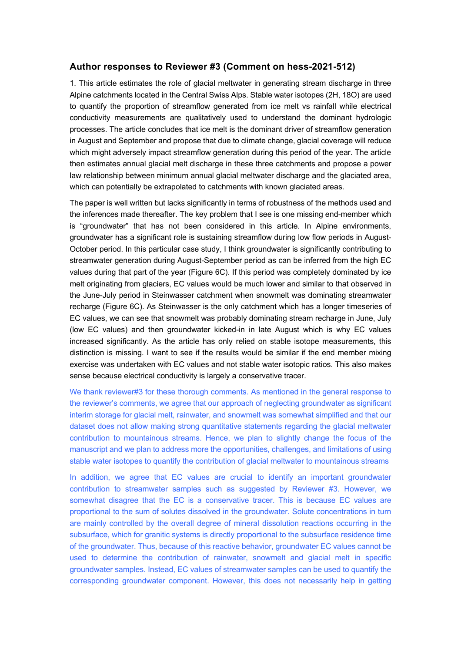## **Author responses to Reviewer #3 (Comment on hess-2021-512)**

1. This article estimates the role of glacial meltwater in generating stream discharge in three Alpine catchments located in the Central Swiss Alps. Stable water isotopes (2H, 18O) are used to quantify the proportion of streamflow generated from ice melt vs rainfall while electrical conductivity measurements are qualitatively used to understand the dominant hydrologic processes. The article concludes that ice melt is the dominant driver of streamflow generation in August and September and propose that due to climate change, glacial coverage will reduce which might adversely impact streamflow generation during this period of the year. The article then estimates annual glacial melt discharge in these three catchments and propose a power law relationship between minimum annual glacial meltwater discharge and the glaciated area, which can potentially be extrapolated to catchments with known glaciated areas.

The paper is well written but lacks significantly in terms of robustness of the methods used and the inferences made thereafter. The key problem that I see is one missing end-member which is "groundwater" that has not been considered in this article. In Alpine environments, groundwater has a significant role is sustaining streamflow during low flow periods in August-October period. In this particular case study, I think groundwater is significantly contributing to streamwater generation during August-September period as can be inferred from the high EC values during that part of the year (Figure 6C). If this period was completely dominated by ice melt originating from glaciers, EC values would be much lower and similar to that observed in the June-July period in Steinwasser catchment when snowmelt was dominating streamwater recharge (Figure 6C). As Steinwasser is the only catchment which has a longer timeseries of EC values, we can see that snowmelt was probably dominating stream recharge in June, July (low EC values) and then groundwater kicked-in in late August which is why EC values increased significantly. As the article has only relied on stable isotope measurements, this distinction is missing. I want to see if the results would be similar if the end member mixing exercise was undertaken with EC values and not stable water isotopic ratios. This also makes sense because electrical conductivity is largely a conservative tracer.

We thank reviewer#3 for these thorough comments. As mentioned in the general response to the reviewer's comments, we agree that our approach of neglecting groundwater as significant interim storage for glacial melt, rainwater, and snowmelt was somewhat simplified and that our dataset does not allow making strong quantitative statements regarding the glacial meltwater contribution to mountainous streams. Hence, we plan to slightly change the focus of the manuscript and we plan to address more the opportunities, challenges, and limitations of using stable water isotopes to quantify the contribution of glacial meltwater to mountainous streams

In addition, we agree that EC values are crucial to identify an important groundwater contribution to streamwater samples such as suggested by Reviewer #3. However, we somewhat disagree that the EC is a conservative tracer. This is because EC values are proportional to the sum of solutes dissolved in the groundwater. Solute concentrations in turn are mainly controlled by the overall degree of mineral dissolution reactions occurring in the subsurface, which for granitic systems is directly proportional to the subsurface residence time of the groundwater. Thus, because of this reactive behavior, groundwater EC values cannot be used to determine the contribution of rainwater, snowmelt and glacial melt in specific groundwater samples. Instead, EC values of streamwater samples can be used to quantify the corresponding groundwater component. However, this does not necessarily help in getting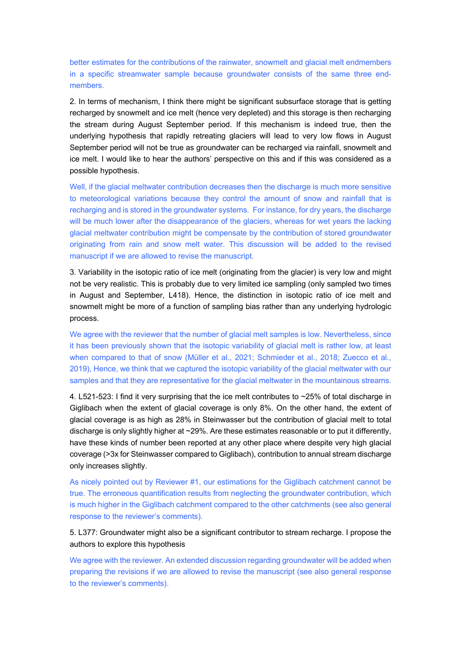better estimates for the contributions of the rainwater, snowmelt and glacial melt endmembers in a specific streamwater sample because groundwater consists of the same three endmembers.

2. In terms of mechanism, I think there might be significant subsurface storage that is getting recharged by snowmelt and ice melt (hence very depleted) and this storage is then recharging the stream during August September period. If this mechanism is indeed true, then the underlying hypothesis that rapidly retreating glaciers will lead to very low flows in August September period will not be true as groundwater can be recharged via rainfall, snowmelt and ice melt. I would like to hear the authors' perspective on this and if this was considered as a possible hypothesis.

Well, if the glacial meltwater contribution decreases then the discharge is much more sensitive to meteorological variations because they control the amount of snow and rainfall that is recharging and is stored in the groundwater systems. For instance, for dry years, the discharge will be much lower after the disappearance of the glaciers, whereas for wet years the lacking glacial meltwater contribution might be compensate by the contribution of stored groundwater originating from rain and snow melt water. This discussion will be added to the revised manuscript if we are allowed to revise the manuscript.

3. Variability in the isotopic ratio of ice melt (originating from the glacier) is very low and might not be very realistic. This is probably due to very limited ice sampling (only sampled two times in August and September, L418). Hence, the distinction in isotopic ratio of ice melt and snowmelt might be more of a function of sampling bias rather than any underlying hydrologic process.

We agree with the reviewer that the number of glacial melt samples is low. Nevertheless, since it has been previously shown that the isotopic variability of glacial melt is rather low, at least when compared to that of snow (Müller et al., 2021; Schmieder et al., 2018; Zuecco et al., 2019), Hence, we think that we captured the isotopic variability of the glacial meltwater with our samples and that they are representative for the glacial meltwater in the mountainous streams.

4. L521-523: I find it very surprising that the ice melt contributes to ~25% of total discharge in Giglibach when the extent of glacial coverage is only 8%. On the other hand, the extent of glacial coverage is as high as 28% in Steinwasser but the contribution of glacial melt to total discharge is only slightly higher at ~29%. Are these estimates reasonable or to put it differently, have these kinds of number been reported at any other place where despite very high glacial coverage (>3x for Steinwasser compared to Giglibach), contribution to annual stream discharge only increases slightly.

As nicely pointed out by Reviewer #1, our estimations for the Giglibach catchment cannot be true. The erroneous quantification results from neglecting the groundwater contribution, which is much higher in the Giglibach catchment compared to the other catchments (see also general response to the reviewer's comments).

5. L377: Groundwater might also be a significant contributor to stream recharge. I propose the authors to explore this hypothesis

We agree with the reviewer. An extended discussion regarding groundwater will be added when preparing the revisions if we are allowed to revise the manuscript (see also general response to the reviewer's comments).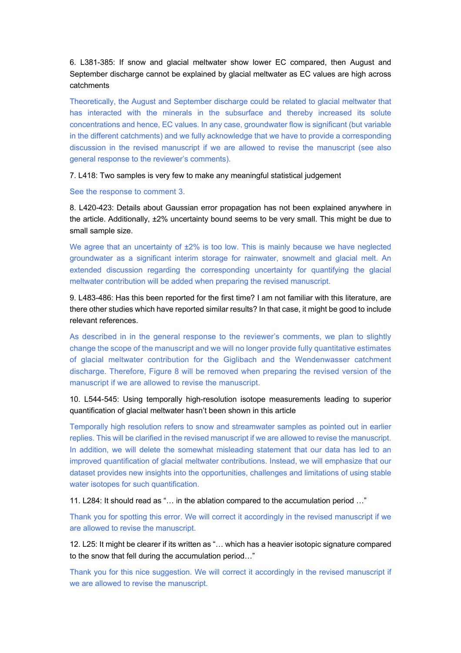6. L381-385: If snow and glacial meltwater show lower EC compared, then August and September discharge cannot be explained by glacial meltwater as EC values are high across catchments

Theoretically, the August and September discharge could be related to glacial meltwater that has interacted with the minerals in the subsurface and thereby increased its solute concentrations and hence, EC values. In any case, groundwater flow is significant (but variable in the different catchments) and we fully acknowledge that we have to provide a corresponding discussion in the revised manuscript if we are allowed to revise the manuscript (see also general response to the reviewer's comments).

7. L418: Two samples is very few to make any meaningful statistical judgement

See the response to comment 3.

8. L420-423: Details about Gaussian error propagation has not been explained anywhere in the article. Additionally, ±2% uncertainty bound seems to be very small. This might be due to small sample size.

We agree that an uncertainty of  $±2\%$  is too low. This is mainly because we have neglected groundwater as a significant interim storage for rainwater, snowmelt and glacial melt. An extended discussion regarding the corresponding uncertainty for quantifying the glacial meltwater contribution will be added when preparing the revised manuscript.

9. L483-486: Has this been reported for the first time? I am not familiar with this literature, are there other studies which have reported similar results? In that case, it might be good to include relevant references.

As described in in the general response to the reviewer's comments, we plan to slightly change the scope of the manuscript and we will no longer provide fully quantitative estimates of glacial meltwater contribution for the Giglibach and the Wendenwasser catchment discharge. Therefore, Figure 8 will be removed when preparing the revised version of the manuscript if we are allowed to revise the manuscript.

## 10. L544-545: Using temporally high-resolution isotope measurements leading to superior quantification of glacial meltwater hasn't been shown in this article

Temporally high resolution refers to snow and streamwater samples as pointed out in earlier replies. This will be clarified in the revised manuscript if we are allowed to revise the manuscript. In addition, we will delete the somewhat misleading statement that our data has led to an improved quantification of glacial meltwater contributions. Instead, we will emphasize that our dataset provides new insights into the opportunities, challenges and limitations of using stable water isotopes for such quantification.

11. L284: It should read as "… in the ablation compared to the accumulation period …"

Thank you for spotting this error. We will correct it accordingly in the revised manuscript if we are allowed to revise the manuscript.

12. L25: It might be clearer if its written as "… which has a heavier isotopic signature compared to the snow that fell during the accumulation period…"

Thank you for this nice suggestion. We will correct it accordingly in the revised manuscript if we are allowed to revise the manuscript.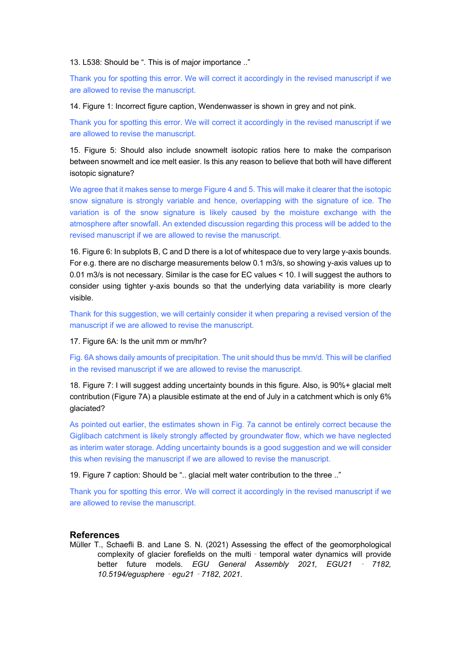13. L538: Should be ". This is of major importance .."

Thank you for spotting this error. We will correct it accordingly in the revised manuscript if we are allowed to revise the manuscript.

14. Figure 1: Incorrect figure caption, Wendenwasser is shown in grey and not pink.

Thank you for spotting this error. We will correct it accordingly in the revised manuscript if we are allowed to revise the manuscript.

15. Figure 5: Should also include snowmelt isotopic ratios here to make the comparison between snowmelt and ice melt easier. Is this any reason to believe that both will have different isotopic signature?

We agree that it makes sense to merge Figure 4 and 5. This will make it clearer that the isotopic snow signature is strongly variable and hence, overlapping with the signature of ice. The variation is of the snow signature is likely caused by the moisture exchange with the atmosphere after snowfall. An extended discussion regarding this process will be added to the revised manuscript if we are allowed to revise the manuscript.

16. Figure 6: In subplots B, C and D there is a lot of whitespace due to very large y-axis bounds. For e.g. there are no discharge measurements below 0.1 m3/s, so showing y-axis values up to 0.01 m3/s is not necessary. Similar is the case for EC values < 10. I will suggest the authors to consider using tighter y-axis bounds so that the underlying data variability is more clearly visible.

Thank for this suggestion, we will certainly consider it when preparing a revised version of the manuscript if we are allowed to revise the manuscript.

17. Figure 6A: Is the unit mm or mm/hr?

Fig. 6A shows daily amounts of precipitation. The unit should thus be mm/d. This will be clarified in the revised manuscript if we are allowed to revise the manuscript.

18. Figure 7: I will suggest adding uncertainty bounds in this figure. Also, is 90%+ glacial melt contribution (Figure 7A) a plausible estimate at the end of July in a catchment which is only 6% glaciated?

As pointed out earlier, the estimates shown in Fig. 7a cannot be entirely correct because the Giglibach catchment is likely strongly affected by groundwater flow, which we have neglected as interim water storage. Adding uncertainty bounds is a good suggestion and we will consider this when revising the manuscript if we are allowed to revise the manuscript.

19. Figure 7 caption: Should be ".. glacial melt water contribution to the three .."

Thank you for spotting this error. We will correct it accordingly in the revised manuscript if we are allowed to revise the manuscript.

## **References**

Müller T., Schaefli B. and Lane S. N. (2021) Assessing the effect of the geomorphological complexity of glacier forefields on the multi - temporal water dynamics will provide better future models. *EGU General Assembly 2021, EGU21* ‐ *7182, 10.5194/egusphere*‐*egu21*‐*7182, 2021*.